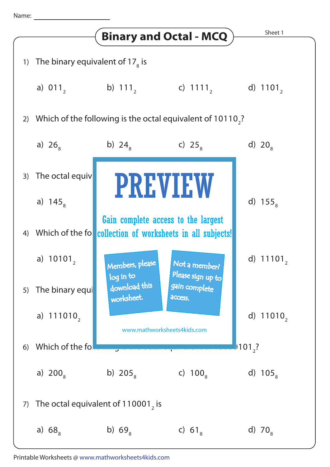